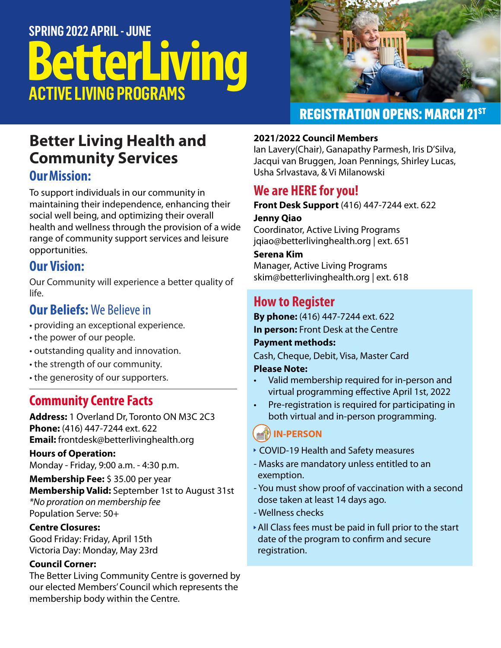# **BetterLiving ACTIVE LIVING PROGRAMS SPRING 2022 APRIL - JUNE**



## REGISTRATION OPENS: MARCH 21ST

## **Better Living Health and Community Services Our Mission:**

To support individuals in our community in maintaining their independence, enhancing their social well being, and optimizing their overall health and wellness through the provision of a wide range of community support services and leisure opportunities.

## **Our Vision:**

Our Community will experience a better quality of life.

## **Our Beliefs:** We Believe in

- providing an exceptional experience.
- the power of our people.
- outstanding quality and innovation.
- the strength of our community.
- the generosity of our supporters.

## **Community Centre Facts**

**Address:** 1 Overland Dr, Toronto ON M3C 2C3 **Phone:** (416) 447-7244 ext. 622 **Email:** frontdesk@betterlivinghealth.org

#### **Hours of Operation:**

Monday - Friday, 9:00 a.m. - 4:30 p.m.

**Membership Fee:** \$ 35.00 per year **Membership Valid:** September 1st to August 31st *\*No proration on membership fee* Population Serve: 50+

**Centre Closures:** Good Friday: Friday, April 15th Victoria Day: Monday, May 23rd

#### **Council Corner:**

The Better Living Community Centre is governed by our elected Members' Council which represents the membership body within the Centre.

#### **2021/2022 Council Members**

Ian Lavery(Chair), Ganapathy Parmesh, Iris D'Silva, Jacqui van Bruggen, Joan Pennings, Shirley Lucas, Usha Srlvastava, & Vi Milanowski

## **We are HERE for you!**

**Front Desk Support** (416) 447-7244 ext. 622

#### **Jenny Qiao**

Coordinator, Active Living Programs jqiao@betterlivinghealth.org | ext. 651

**Serena Kim**

Manager, Active Living Programs skim@betterlivinghealth.org | ext. 618

## **How to Register**

**By phone:** (416) 447-7244 ext. 622 **In person:** Front Desk at the Centre

#### **Payment methods:**

Cash, Cheque, Debit, Visa, Master Card

#### **Please Note:**

- Valid membership required for in-person and virtual programming effective April 1st, 2022
- Pre-registration is required for participating in both virtual and in-person programming.

### **IN-PERSON**

- COVID-19 Health and Safety measures
- Masks are mandatory unless entitled to an exemption.
- You must show proof of vaccination with a second dose taken at least 14 days ago.
- Wellness checks
- All Class fees must be paid in full prior to the start date of the program to confirm and secure registration.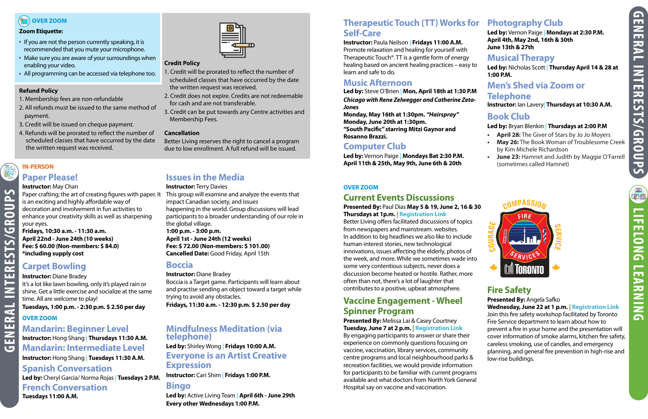**LIFELONG LEARNING**

**LEARNING** 

**LIFELONG** 

## **BEED** OVER ZOOM

#### **Zoom Etiquette:**

- If you are not the person currently speaking, it is recommended that you mute your microphone.
- $\blacktriangleright$  Make sure you are aware of your surroundings when enabling your video.
- All programming can be accessed via telephone too.

#### **Refund Policy**

- 1. Membership fees are non-refundable
- 2. All refunds must be issued to the same method of payment.
- 3. Credit will be issued on cheque payment.
- 4. Refunds will be prorated to reflect the number of scheduled classes that have occurred by the date the written request was received.



#### **Credit Policy**

Paper crafting; the art of creating figures with paper. It This group will examine and analyze the events that is an exciting and highly affordable way of decoration and involvement in fun activities to enhance your creativity skills as well as sharpening your eyes. **Fridays, 10:30 a.m. - 11:30 a.m. April 22nd - June 24th (10 weeks) Fee: \$ 60.00 (Non-members: \$ 84.0)**

- 1. Credit will be prorated to reflect the number of scheduled classes that have occurred by the date the written request was received.
- 2. Credit does not expire. Credits are not redeemable for cash and are not transferable.
- 3. Credit can be put towards any Centre activities and Membership Fees.

#### **Cancellation**

Better Living reserves the right to cancel a program due to low enrollment. A full refund will be issued.

#### **Instructor:** May Chan

**\*including supply cost**

## **Carpet Bowling**

**Instructor:** Diane Bradey

It's a lot like lawn bowling, only it's played rain or shine. Get a little exercise and socialize at the same time. All are welcome to play!

**Tuesdays, 1:00 p.m. - 2:30 p.m. \$ 2.50 per day**

## **Issues in the Media**

**Instructor:** Terry Davies impact Canadian society, and issues happening in the world. Group discussions will lead participants to a broader understanding of our role in the global village. **1:00 p.m. - 3:00 p.m. April 1st - June 24th (12 weeks) Fee: \$ 72.00 (Non-members: \$ 101.00) Cancelled Date:** Good Friday, April 15th

### **Boccia**

**Instructor:** Diane Bradey Boccia is a Target game. Participants will learn about and practise sending an object toward a target while trying to avoid any obstacles.

**Fridays, 11:30 a.m. - 12:30 p.m. \$ 2.50 per day**

## **Mandarin: Beginner Level Instructor:** Hong Shang | **Thursdays 11:30 A.M. Mandarin: Intermediate Level**

**Instructor:** Hong Shang | **Tuesdays 11:30 A.M.**

#### **Spanish Conversation**

**Led by:** Cheryl Garcia/ Norma Rojas | **Tuesdays 2 P.M.**

#### **French Conversation**

**Tuesdays 11:00 A.M.**

## **Mindfulness Meditation (via telephone)**

### **Led by:** Shirley Wong | **Fridays 10:00 A.M. Everyone is an Artist Creative Expression**

**Instructor:** Cari Shim | **Fridays 1:00 P.M.**

## **Bingo**

**Led by:** Active Living Team | **April 6th - June 29th Every other Wednesdays 1:00 P.M.** 

## **Therapeutic Touch (TT) Works for Photography Club Self-Care**

#### **Instructor:** Paula Neilson | **Fridays 11:00 A.M.**

Promote relaxation and healing for yourself with Therapeutic Touch®. TT is a gentle form of energy healing based on ancient healing practices – easy to learn and safe to do.

## **Music Afternoon**

**Led by:** Steve O'Brien | **Mon, April 18th at 1:30 P.M** *Chicago with Rene Zelwegger and Catherine Zeta-Jones*

**Monday, May 16th at 1:30pm.** *"Hairspray"* **Monday, June 20th at 1:30pm. "South Pacific" starring Mitzi Gaynor and Rosanno Brazzi.**

#### **Paper Please! IN-PERSON**

## **Computer Club**

**Led by:** Vernon Paige | **Mondays Bat 2:30 P.M. April 11th & 25th, May 9th, June 6th & 20th**

**Led by:** Vernon Paige | **Mondays at 2:30 P.M. April 4th, May 2nd, 16th & 30th June 13th & 27th**

## **Musical Therapy**

**Led by:** Nicholas Scott | **Thursday April 14 & 28 at 1:00 P.M.**

#### **Men's Shed via Zoom or Telephone**

**Instructor:** Ian Lavery| **Thursdays at 10:30 A.M.**

## **Book Club**

#### **Led by:** Bryan Blenkin | **Thursdays at 2:00 P.M**

- **• April 28:** The Giver of Stars by Jo Jo Moyers
- **• May 26:** The Book Woman of Troublesome Creek by Kim Michele Richardson
- **• June 23:** Hamnet and Judith by Maggie O'Farrell (sometimes called Hamnet)



## **Current Events Discussions**

#### **Presented By:** Paul Dias **May 5 & 19, June 2, 16 & 30 Thursdays at 1p.m. | [Registration Link](https://us02web.zoom.us/meeting/register/tZ0ocOqspj0tHNZLDO_Q7Z8_99ZtcCHUE2LW)**

Better Living offers facilitated discussions of topics from newspapers and mainstream. websites. In addition to big headlines we also like to include human-interest stories, new technological innovations, issues affecting the elderly, photos of the week, and more. While we sometimes wade into some very contentious subjects, never does a discussion become heated or hostile. Rather, more often than not, there's a lot of laughter that contributes to a positive, upbeat atmosphere.

## **Vaccine Engagement - Wheel Spinner Program**

#### **Presented By:** Melissa Lai & Casey Courtney **Tuesday, June 7 at 2 p.m. | [Registration Link](https://us02web.zoom.us/meeting/register/tZAsdeigrzwiHdB-OkSbBMzaFqp3tmkhDFmm)**

By engaging participants to answer or share their experience on commonly questions focusing on vaccine, vaccination, library services, community centre programs and local neighbourhood parks & recreation facilities, we would provide information for participants to be familiar with current programs available and what doctors from North York General Hospital say on vaccine and vaccination.

EQ

## **Fire Safety**

**Presented By:** Angela Safko **Wednesday, June 22 at 1 p.m. | [Registration Link](https://us02web.zoom.us/meeting/register/tZwtc--qrDMqG9ylfjuJdrrlRtHU3AMJiRCd)** Join this fire safety workshop facilitated by Toronto Fire Service department to learn about how to prevent a fire in your home and the presentation will cover information of smoke alarms, kitchen fire safety, careless smoking, use of candles, and emergency planning, and general fire prevention in high-rise and low-rise buildings.

#### **OVER ZOOM**

#### **OVER ZOOM**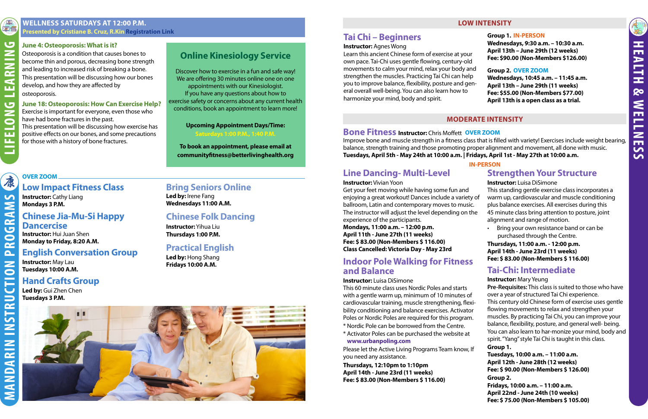RO

 $\overline{\mathbf{a}}$ 

**INSTRUCTION** 

MANDARIN

#### **June 4: Osteoporosis: What is it?**

Osteoporosis is a condition that causes bones to become thin and porous, decreasing bone strength and leading to increased risk of breaking a bone. This presentation will be discussing how our bones develop, and how they are affected by osteoporosis.

#### **June 18: Osteoporosis: How Can Exercise Help?**

Exercise is important for everyone, even those who have had bone fractures in the past. This presentation will be discussing how exercise has positive effects on our bones, and some precautions for those with a history of bone fractures.

## **Online Kinesiology Service**

Discover how to exercise in a fun and safe way! We are offering 30 minutes online one on one appointments with our Kinesiologist. If you have any questions about how to exercise safety or concerns about any current health conditions, book an appointment to learn more!

#### **Upcoming Appointment Days/Time: Saturdays 1:00 P.M., 1:40 P.M.**

**To book an appointment, please email at [communityfitness@betterlivinghealth.org](mailto:communityfitness@betterlivinghealth.org?subject=Online%20Kinesiology%20Service%20Inquiry%20)**

#### **WELLNESS SATURDAYS AT 12:00 P.M. Presented by Cristiane B. Cruz, R.Kin [Registration Link](https://us02web.zoom.us/meeting/register/tZUodO-uqTItGtf_0qDiLHjZQ1IoIv0rii9C)**

#### **LOW INTENSITY**

#### **MODERATE INTENSITY**

#### **Low Impact Fitness Class**

**Instructor:** Cathy Liang **Mondays 3 P.M.**

## **Chinese Jia-Mu-Si Happy Dancercise**

**Instructor:** Hui Juan Shen **Monday to Friday, 8:20 A.M.**

#### **English Conversation Group**

**Instructor:** May Lau **Tuesdays 10:00 A.M.**

#### **Hand Crafts Group**

**Led by:** Gui Zhen Chen **Tuesdays 3 P.M.**

## **Bring Seniors Online**

**Led by:** Irene Fang **Wednesdays 11:00 A.M.**

## **Chinese Folk Dancing**

**Instructor:** Yihua Liu **Thursdays 1:00 P.M.**

## **Practical English**

**Led by:** Hong Shang **Fridays 10:00 A.M.**



## **OVER ZOOM**

## **Tai Chi – Beginners**

#### **Instructor:** Agnes Wong

Learn this ancient Chinese form of exercise at your own pace. Tai-Chi uses gentle flowing, century-old movements to calm your mind, relax your body and strengthen the muscles. Practicing Tai Chi can help you to improve balance, flexibility, posture and general overall well-being. You can also learn how to harmonize your mind, body and spirit. **Fee: \$90.00 (Non-Members \$126.00) Group 2. [OVER ZOOM](https://us02web.zoom.us/j/85062944161) Wednesdays, 10:45 a.m. – 11:45 a.m. April 13th – June 29th (11 weeks) Fee: \$55.00 (Non-Members \$77.00) April 13th is a open class as a trial.** 

**Group 1. IN-PERSON Wednesdays, 9:30 a.m. – 10:30 a.m. April 13th – June 29th (12 weeks)**

**Bone Fitness Instructor:** Chris Moffett **OVER ZOOM** Improve bone and muscle strength in a fitness class that is filled with variety! Exercises include weight bearing, balance, strength training and those promoting proper alignment and movement, all done with music. **Tuesdays, April 5th - May 24th at 10:00 a.m. | Fridays, April 1st - May 27th at 10:00 a.m.**

## **Line Dancing- Multi-Level**

#### **Instructor:** Vivian Yoon

**Mondays, 11:00 a.m. – 12:00 p.m. April 11th - June 27th (11 weeks) Fee: \$ 83.00 (Non-Members \$ 116.00) Class Cancelled: Victoria Day - May 23rd**

Get your feet moving while having some fun and enjoying a great workout! Dances include a variety of ballroom, Latin and contemporary moves to music. The instructor will adjust the level depending on the experience of the participants. This standing gentle exercise class incorporates a warm up, cardiovascular and muscle conditioning plus balance exercises. All exercises during this 45 minute class bring attention to posture, joint alignment and range of motion.

## **Strengthen Your Structure**

**Instructor:** Luisa DiSimone

- 
- Bring your own resistance band or can be purchased through the Centre.

**Thursdays, 11:00 a.m. - 12:00 p.m. April 14th - June 23rd (11 weeks) Fee: \$ 83.00 (Non-Members \$ 116.00)**

### **Tai-Chi: Intermediate**

#### **Instructor:** Mary Yeung

**Pre-Requisites:** This class is suited to those who have over a year of structured Tai Chi experience. This century old Chinese form of exercise uses gentle flowing movements to relax and strengthen your muscles. By practicing Tai Chi, you can improve your balance, flexibility, posture, and general well- being. You can also learn to har-monize your mind, body and spirit. "Yang" style Tai Chi is taught in this class.

#### **Group 1.**

**Tuesdays, 10:00 a.m. – 11:00 a.m. April 12th - June 28th (12 weeks) Fee: \$ 90.00 (Non-Members \$ 126.00) Group 2. Fridays, 10:00 a.m. – 11:00 a.m. April 22nd - June 24th (10 weeks) Fee: \$ 75.00 (Non-Members \$ 105.00)**

## **Indoor Pole Walking for Fitness and Balance**

#### **Instructor:** Luisa DiSimone

This 60 minute class uses Nordic Poles and starts with a gentle warm up, minimum of 10 minutes of cardiovascular training, muscle strengthening, flexibility conditioning and balance exercises. Activator Poles or Nordic Poles are required for this program.

- \* Nordic Pole can be borrowed from the Centre.
- \* Activator Poles can be purchased the website at **[www.urbanpoling.com](https://urbanpoling.com/)**

Please let the Active Living Programs Team know, If you need any assistance.

**Thursdays, 12:10pm to 1:10pm April 14th - June 23rd (11 weeks) Fee: \$ 83.00 (Non-Members \$ 116.00)** **IN-PERSON**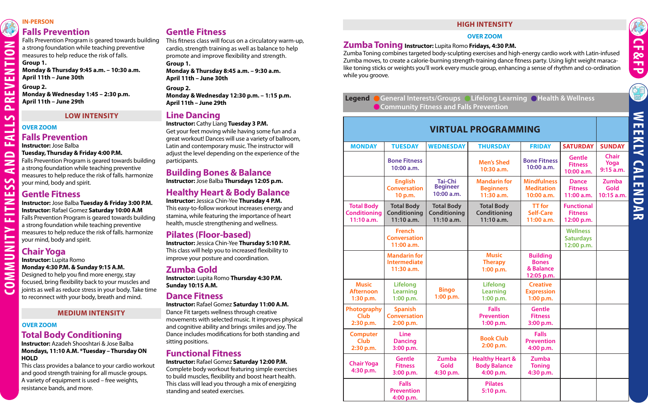**COMMUNITY FITNESS AND FALLS PREVENTION**

 $\blacktriangleleft$ 

SS ш Z

E щ  $\blacktriangleright$ 

NNUNIT

 $\overline{\bullet}$ 

TION

 $\overline{\mathbf{z}}$ 

 $\mathbf{r}$ 

 $\sim$  $\mathbf{\Omega}$ 

 $\mathbf{v}$ <u>and</u>

 $\blacktriangleleft$ 

ш  $\blacksquare$ Z

## **Falls Prevention**

Falls Prevention Program is geared towards building a strong foundation while teaching preventive measures to help reduce the risk of falls. **Group 1.**

**Monday & Thursday 9:45 a.m. – 10:30 a.m. April 11th – June 30th**

**Group 2. Monday & Wednesday 1:45 – 2:30 p.m. April 11th – June 29th**

## **Gentle Fitness**

This fitness class will focus on a circulatory warm-up, cardio, strength training as well as balance to help promote and improve flexibility and strength.

**Group 1.**

**Monday & Thursday 8:45 a.m. – 9:30 a.m. April 11th – June 30th**

#### **Group 2.**

**Monday & Wednesday 12:30 p.m. – 1:15 p.m. April 11th – June 29th** 

#### **IN-PERSON**

#### **LOW INTENSITY**

#### **MEDIUM INTENSITY**

#### **OVER ZOOM**

#### **OVER ZOOM Falls Prevention**

**Instructor:** Jose Balba

#### **Tuesday, Thursday & Friday 4:00 P.M.**

Falls Prevention Program is geared towards building a strong foundation while teaching preventive measures to help reduce the risk of falls. harmonize your mind, body and spirit.

## **Gentle Fitness**

**Instructor:** Jose Balba **Tuesday & Friday 3:00 P.M. Instructor:** Rafael Gomez **Saturday 10:00 A.M** Falls Prevention Program is geared towards building a strong foundation while teaching preventive

measures to help reduce the risk of falls. harmonize your mind, body and spirit.

## **Chair Yoga**

**Instructor:** Lupita Romo

#### **Monday 4:30 P.M. & Sunday 9:15 A.M.**

Designed to help you find more energy, stay focused, bring flexibility back to your muscles and joints as well as reduce stress in your body. Take time to reconnect with your body, breath and mind.

## **Total Body Conditioning**

#### **Instructor:** Azadeh Shooshtari & Jose Balba **Mondays, 11:10 A.M. \*Tuesday – Thursday ON HOLD**

This class provides a balance to your cardio workout and good strength training for all muscle groups. A variety of equipment is used – free weights, resistance bands, and more.

**Zumba Toning Instructor:** Lupita Romo **Fridays, 4:30 P.M.**

Zumba Toning combines targeted body-sculpting exercises and high-energy cardio work with Latin-infused Zumba moves, to create a calorie-burning strength-training dance fitness party. Using light weight maracalike toning sticks or weights you'll work every muscle group, enhancing a sense of rhythm and co-ordination while you groove.

| egend General Interests/Groups OL |  |
|-----------------------------------|--|
| Community Fitness and Falls F     |  |

## *VIRTUAL P*

## **Line Dancing**

**Instructor:** Cathy Liang **Tuesday 3 P.M.** 

Get your feet moving while having some fun and a great workout! Dances will use a variety of ballroom, Latin and contemporary music. The instructor will adjust the level depending on the experience of the participants.

## **Building Bones & Balance**

**Instructor:** Jose Balba **Thursdays 12:05 p.m.**

## **Healthy Heart & Body Balance**

**Instructor:** Jessica Chin-Yee **Thursday 4 P.M.**  This easy-to-follow workout increases energy and stamina, while featuring the importance of heart health, muscle strengthening and wellness.

## **Pilates (Floor-based)**

**Instructor:** Jessica Chin-Yee **Thursday 5:10 P.M.**  This class will help you to increased flexibility to improve your posture and coordination.

## **Zumba Gold**

**Instructor:** Lupita Romo **Thursday 4:30 P.M. Sunday 10:15 A.M.** 

### **Dance Fitness**

#### **Instructor:** Rafael Gomez **Saturday 11:00 A.M.**

Dance Fit targets wellness through creative movements with selected music. It improves physical and cognitive ability and brings smiles and joy. The Dance includes modifications for both standing and sitting positions.

## **Functional Fitness**

#### **Instructor:** Rafael Gomez **Saturday 12:00 P.M.**

Complete body workout featuring simple exercises to build muscles, flexibility and boost heart health. This class will lead you through a mix of energizing standing and seated exercises.

#### **HIGH INTENSITY**

#### **OVER ZOOM**

#### **I**felong Learning **C** Health & Wellness Prevention

| <b>ROGRAMMING</b> |  |  |
|-------------------|--|--|
|                   |  |  |



OE

| <b>MONDAY</b>                                            | <b>TUESDAY</b>                                           | <b>WEDNESDAY</b>                                       | <b>THURSDAY</b>                                                | <b>FRIDAY</b>                                              | <b>SATURDAY</b>                                   | <b>SUNDAY</b>                      |
|----------------------------------------------------------|----------------------------------------------------------|--------------------------------------------------------|----------------------------------------------------------------|------------------------------------------------------------|---------------------------------------------------|------------------------------------|
|                                                          | <b>Bone Fitness</b><br>10:00 a.m.                        |                                                        | <b>Men's Shed</b><br>10:30 a.m.                                | <b>Bone Fitness</b><br>10:00 a.m.                          | <b>Gentle</b><br><b>Fitness</b><br>10:00 a.m.     | <b>Chair</b><br>Yoga<br>9:15 a.m.  |
|                                                          | <b>English</b><br><b>Conversation</b><br>10 p.m.         | <b>Tai-Chi</b><br><b>Begineer</b><br>10:00 a.m.        | <b>Mandarin for</b><br><b>Beginners</b><br>11:30 a.m.          | <b>Mindfulness</b><br><b>Meditation</b><br>10:00 a.m.      | <b>Dance</b><br><b>Fitness</b><br>11:00 a.m.      | Zumba<br><b>Gold</b><br>10:15 a.m. |
| <b>Total Body</b><br><b>Conditioning</b><br>$11:10$ a.m. | <b>Total Body</b><br><b>Conditioning</b><br>$11:10$ a.m. | <b>Total Body</b><br><b>Conditioning</b><br>11:10 a.m. | <b>Total Body</b><br><b>Conditioning</b><br>$11:10$ a.m.       | <b>TT</b> for<br><b>Self-Care</b><br>11:00 a.m.            | <b>Functional</b><br><b>Fitness</b><br>12:00 p.m. |                                    |
|                                                          | <b>French</b><br><b>Conversation</b><br>11:00 a.m.       |                                                        |                                                                |                                                            | <b>Wellness</b><br><b>Saturdays</b><br>12:00 p.m. |                                    |
|                                                          | <b>Mandarin for</b><br><b>Intermediate</b><br>11:30 a.m. |                                                        | <b>Music</b><br><b>Therapy</b><br>1:00 p.m.                    | <b>Building</b><br><b>Bones</b><br>& Balance<br>12:05 p.m. |                                                   |                                    |
| <b>Music</b><br><b>Afternoon</b><br>1:30 p.m.            | <b>Lifelong</b><br><b>Learning</b><br>1:00 p.m.          | <b>Bingo</b><br>1:00 p.m.                              | <b>Lifelong</b><br><b>Learning</b><br>1:00 p.m.                | <b>Creative</b><br><b>Expression</b><br>1:00 p.m.          |                                                   |                                    |
| Photography<br><b>Club</b><br>2:30 p.m.                  | <b>Spanish</b><br><b>Conversation</b><br>2:00 p.m.       |                                                        | <b>Falls</b><br><b>Prevention</b><br>1:00 p.m.                 | <b>Gentle</b><br><b>Fitness</b><br>3:00 p.m.               |                                                   |                                    |
| <b>Computer</b><br><b>Club</b><br>2:30 p.m.              | <b>Line</b><br><b>Dancing</b><br>3:00 p.m.               |                                                        | <b>Book Club</b><br>2:00 p.m.                                  | <b>Falls</b><br><b>Prevention</b><br>4:00 p.m.             |                                                   |                                    |
| <b>Chair Yoga</b><br>4:30 p.m.                           | <b>Gentle</b><br><b>Fitness</b><br>3:00 p.m.             | <b>Zumba</b><br>Gold<br>4:30 p.m.                      | <b>Healthy Heart &amp;</b><br><b>Body Balance</b><br>4:00 p.m. | Zumba<br><b>Toning</b><br>4:30 p.m.                        |                                                   |                                    |
|                                                          | <b>Falls</b><br><b>Prevention</b><br>4:00 p.m.           |                                                        | <b>Pilates</b><br>5:10 p.m.                                    |                                                            |                                                   |                                    |